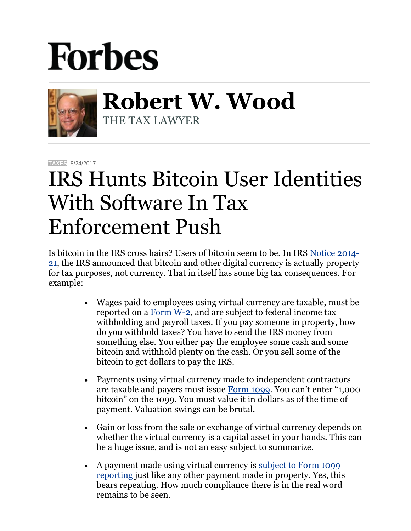## **Forbes**



**Robert W. Wood** THE TAX LAWYER

**[TAXES](https://www.forbes.com/taxes)** 8/24/2017

## IRS Hunts Bitcoin User Identities With Software In Tax Enforcement Push

Is bitcoin in the IRS cross hairs? Users of bitcoin seem to be. In IRS [Notice 2014-](http://www.irs.gov/pub/irs-drop/n-14-21.pdf) [21,](http://www.irs.gov/pub/irs-drop/n-14-21.pdf) the IRS announced that bitcoin and other digital currency is actually property for tax purposes, not currency. That in itself has some big tax consequences. For example:

- Wages paid to employees using virtual currency are taxable, must be reported on a [Form W-2,](http://www.irs.gov/pub/irs-pdf/fw2.pdf) and are subject to federal income tax withholding and payroll taxes. If you pay someone in property, how do you withhold taxes? You have to send the IRS money from something else. You either pay the employee some cash and some bitcoin and withhold plenty on the cash. Or you sell some of the bitcoin to get dollars to pay the IRS.
- Payments using virtual currency made to independent contractors are taxable and payers must issue [Form 1099](http://www.irs.gov/pub/irs-pdf/f1099msc.pdf). You can't enter "1,000 bitcoin" on the 1099. You must value it in dollars as of the time of payment. Valuation swings can be brutal.
- Gain or loss from the sale or exchange of virtual currency depends on whether the virtual currency is a capital asset in your hands. This can be a huge issue, and is not an easy subject to summarize.
- A payment made using virtual currency is [subject to Form 1099](http://www.forbes.com/sites/robertwood/2014/01/25/7-crippling-mistakes-with-form-1099-that-cost-big/)  [reporting](http://www.forbes.com/sites/robertwood/2014/01/25/7-crippling-mistakes-with-form-1099-that-cost-big/) just like any other payment made in property. Yes, this bears repeating. How much compliance there is in the real word remains to be seen.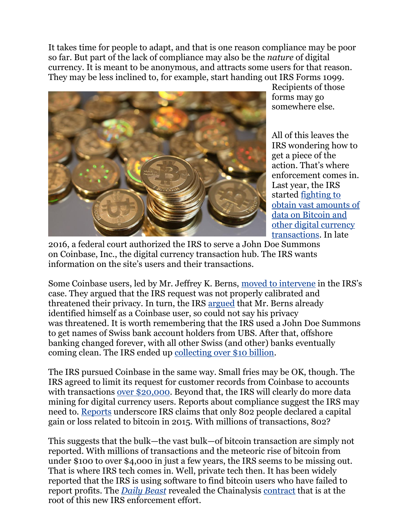It takes time for people to adapt, and that is one reason compliance may be poor so far. But part of the lack of compliance may also be the *nature* of digital currency. It is meant to be anonymous, and attracts some users for that reason. They may be less inclined to, for example, start handing out IRS Forms 1099.



Recipients of those forms may go somewhere else.

All of this leaves the IRS wondering how to get a piece of the action. That's where enforcement comes in. Last year, the IRS started [fighting to](http://www.forbes.com/sites/robertwood/2016/12/02/bitcoin-users-brace-for-irs-audits-from-coinbase-summons/#165e28081091)  [obtain vast amounts of](http://www.forbes.com/sites/robertwood/2016/12/02/bitcoin-users-brace-for-irs-audits-from-coinbase-summons/#165e28081091)  [data on Bitcoin and](http://www.forbes.com/sites/robertwood/2016/12/02/bitcoin-users-brace-for-irs-audits-from-coinbase-summons/#165e28081091)  [other digital currency](http://www.forbes.com/sites/robertwood/2016/12/02/bitcoin-users-brace-for-irs-audits-from-coinbase-summons/#165e28081091)  [transactions.](http://www.forbes.com/sites/robertwood/2016/12/02/bitcoin-users-brace-for-irs-audits-from-coinbase-summons/#165e28081091) In late

2016, a federal court authorized the IRS to serve a John Doe Summons on Coinbase, Inc., the digital currency transaction hub. The IRS wants information on the site's users and their transactions.

Some Coinbase users, led by Mr. Jeffrey K. Berns, [moved to intervene](https://www.law111.com/documents/motion-to-intervene-and-to-quash-summons.pdf) in the IRS's case. They argued that the IRS request was not properly calibrated and threatened their privacy. In turn, the IRS [argued](https://www.scribd.com/document/335233666/The-United-States-of-America-Opposition-to-Jeffrey-K-Berns-Filing#from_embed?content=10079&ad_group=Online+Tracking+Link&campaign=Skimbit%2C+Ltd.&keyword=ft500noi&source=impactradius&medium=affiliate&irgwc=1) that Mr. Berns already identified himself as a Coinbase user, so could not say his privacy was threatened. It is worth remembering that the IRS used a John Doe Summons to get names of Swiss bank account holders from UBS. After that, offshore banking changed forever, with all other Swiss (and other) banks eventually coming clean. The IRS ended up [collecting over \\$10 billion.](https://www.google.com/url?sa=t&rct=j&q=&esrc=s&source=web&cd=2&cad=rja&uact=8&ved=0ahUKEwi-3vPEpqXRAhVBLmMKHXJDDe4QFggjMAE&url=http%3A%2F%2Fwww.forbes.com%2Fsites%2Frobertwood%2F2016%2F10%2F24%2Firs-offshore-account-collections-top-10-billion-fatca-hunt-continues%2F&usg=AFQjCNHL69zOpAQCfsFW9d7BN3APJ9U-Fw&bvm=bv.142059868,d.cGc)

The IRS pursued Coinbase in the same way. Small fries may be OK, though. The IRS agreed to limit its request for customer records from Coinbase to accounts with transactions [over \\$20,000.](http://fortune.com/2017/07/10/bitcoin-irs-coinbase/) Beyond that, the IRS will clearly do more data mining for digital currency users. Reports about compliance suggest the IRS may need to. [Reports](http://fortune.com/2017/03/19/irs-bitcoin-lawsuit/) underscore IRS claims that only 802 people declared a capital gain or loss related to bitcoin in 2015. With millions of transactions, 802?

This suggests that the bulk—the vast bulk—of bitcoin transaction are simply not reported. With millions of transactions and the meteoric rise of bitcoin from under \$100 to over \$4,000 in just a few years, the IRS seems to be missing out. That is where IRS tech comes in. Well, private tech then. It has been widely reported that the IRS is using software to find bitcoin users who have failed to report profits. The *[Daily Beast](http://www.thedailybeast.com/irs-now-has-a-tool-to-unmask-bitcoin-tax-cheats)* revealed the Chainalysis [contract](https://www.documentcloud.org/documents/3935924-IRS-Chainalysis-Contract.html) that is at the root of this new IRS enforcement effort.